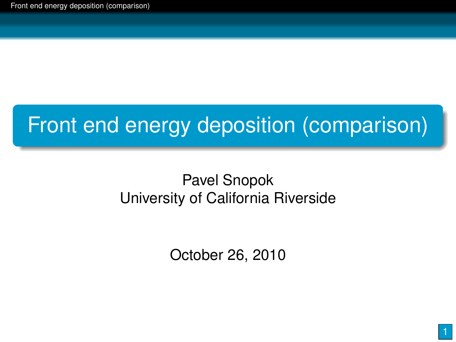## Front end energy deposition (comparison)

#### Pavel Snopok University of California Riverside

<span id="page-0-0"></span>October 26, 2010

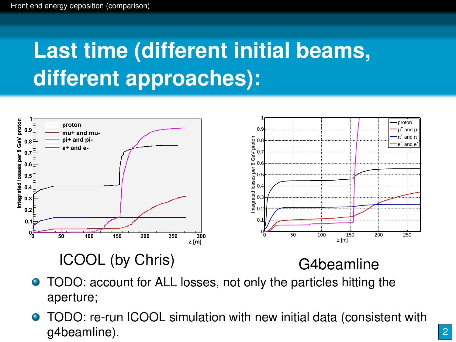# **Last time (different initial beams, different approaches):**



- **O** TODO: account for ALL losses, not only the particles hitting the aperture;
- TODO: re-run ICOOL simulation with new initial data (consistent with g4beamline).

2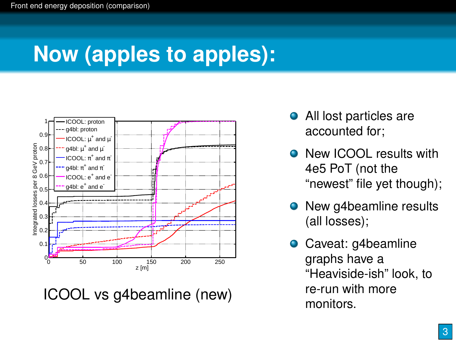# **Now (apples to apples):**



ICOOL vs g4beamline (new)

- All lost particles are accounted for;
- **O** New ICOOL results with 4e5 PoT (not the "newest" file yet though);
- New g4beamline results (all losses);
- Caveat: q4beamline graphs have a "Heaviside-ish" look, to re-run with more monitors.

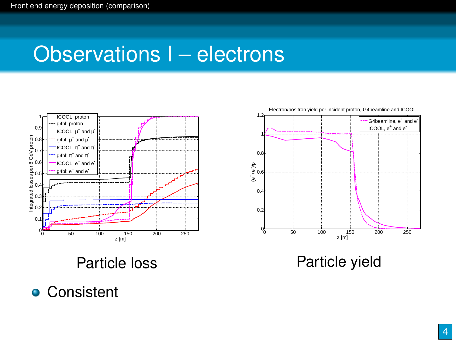#### Observations I – electrons





Particle yield

**• Consistent**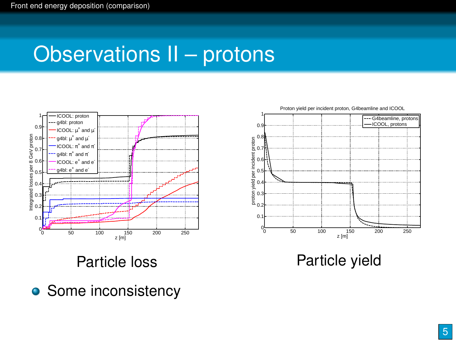#### Observations II – protons



 $\mathbf{0}$  $\ddot{\mathbf{0}}$ 0.3 0.4 0.5 0.6<del>∐\</del> 0.7H 0.8 proton yield per incident proton  $\overline{0}$ . 1┌─ z [m] - G4beamline, protons ICOOL, protons

Proton yield per incident proton, G4beamline and ICOOL

Particle yield

• Some inconsistency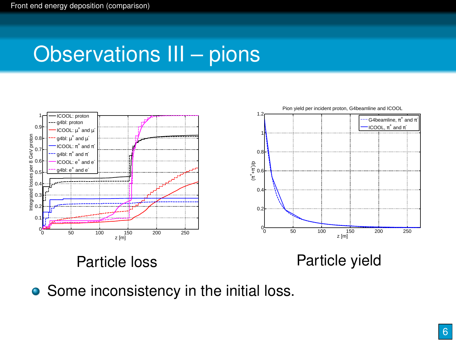### Observations III – pions



<span id="page-5-0"></span>• Some inconsistency in the initial loss.